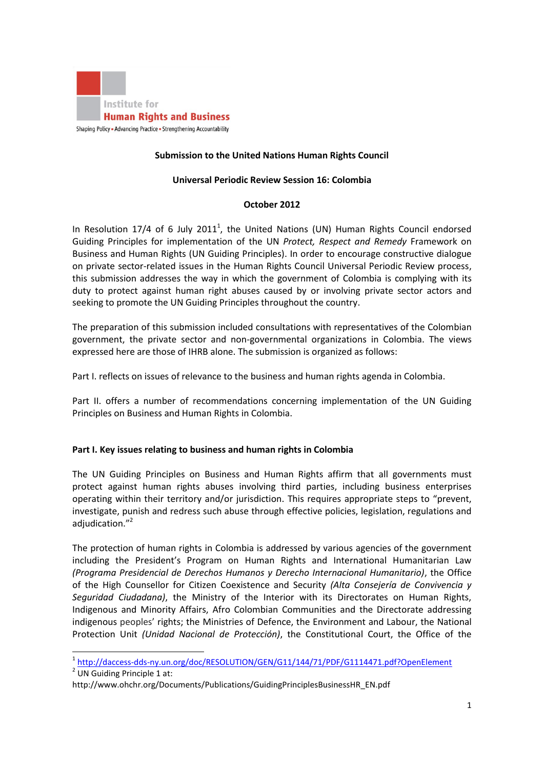

## **Submission to the United Nations Human Rights Council**

#### **Universal Periodic Review Session 16: Colombia**

#### **October 2012**

In Resolution 17/4 of 6 July 2011<sup>1</sup>, the United Nations (UN) Human Rights Council endorsed Guiding Principles for implementation of the UN *Protect, Respect and Remedy* Framework on Business and Human Rights (UN Guiding Principles). In order to encourage constructive dialogue on private sector-related issues in the Human Rights Council Universal Periodic Review process, this submission addresses the way in which the government of Colombia is complying with its duty to protect against human right abuses caused by or involving private sector actors and seeking to promote the UN Guiding Principles throughout the country.

The preparation of this submission included consultations with representatives of the Colombian government, the private sector and non-governmental organizations in Colombia. The views expressed here are those of IHRB alone. The submission is organized as follows:

Part I. reflects on issues of relevance to the business and human rights agenda in Colombia.

Part II. offers a number of recommendations concerning implementation of the UN Guiding Principles on Business and Human Rights in Colombia.

### **Part I. Key issues relating to business and human rights in Colombia**

The UN Guiding Principles on Business and Human Rights affirm that all governments must protect against human rights abuses involving third parties, including business enterprises operating within their territory and/or jurisdiction. This requires appropriate steps to "prevent, investigate, punish and redress such abuse through effective policies, legislation, regulations and adjudication."<sup>2</sup>

The protection of human rights in Colombia is addressed by various agencies of the government including the President's Program on Human Rights and International Humanitarian Law *(Programa Presidencial de Derechos Humanos y Derecho Internacional Humanitario)*, the Office of the High Counsellor for Citizen Coexistence and Security *(Alta Consejería de Convivencia y Seguridad Ciudadana)*, the Ministry of the Interior with its Directorates on Human Rights, Indigenous and Minority Affairs, Afro Colombian Communities and the Directorate addressing indigenous peoples' rights; the Ministries of Defence, the Environment and Labour, the National Protection Unit *(Unidad Nacional de Protección)*, the Constitutional Court, the Office of the

l

<sup>1</sup> <http://daccess-dds-ny.un.org/doc/RESOLUTION/GEN/G11/144/71/PDF/G1114471.pdf?OpenElement>

<sup>&</sup>lt;sup>2</sup> UN Guiding Principle 1 at:

http://www.ohchr.org/Documents/Publications/GuidingPrinciplesBusinessHR\_EN.pdf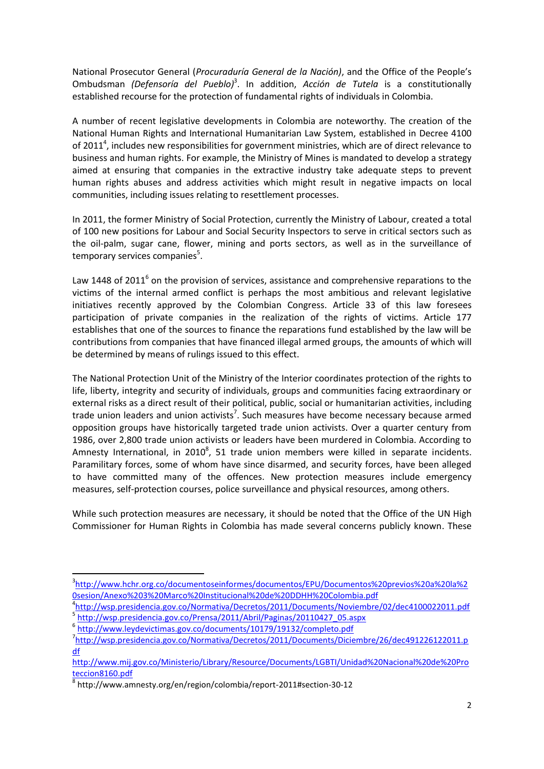National Prosecutor General (*Procuraduría General de la Nación)*, and the Office of the People's Ombudsman *(Defensoría del Pueblo)<sup>3</sup>*. In addition, *Acción de Tutela* is a constitutionally established recourse for the protection of fundamental rights of individuals in Colombia.

A number of recent legislative developments in Colombia are noteworthy. The creation of the National Human Rights and International Humanitarian Law System, established in Decree 4100 of 2011<sup>4</sup>, includes new responsibilities for government ministries, which are of direct relevance to business and human rights. For example, the Ministry of Mines is mandated to develop a strategy aimed at ensuring that companies in the extractive industry take adequate steps to prevent human rights abuses and address activities which might result in negative impacts on local communities, including issues relating to resettlement processes.

In 2011, the former Ministry of Social Protection, currently the Ministry of Labour, created a total of 100 new positions for Labour and Social Security Inspectors to serve in critical sectors such as the oil-palm, sugar cane, flower, mining and ports sectors, as well as in the surveillance of temporary services companies<sup>5</sup>.

Law 1448 of 2011<sup>6</sup> on the provision of services, assistance and comprehensive reparations to the victims of the internal armed conflict is perhaps the most ambitious and relevant legislative initiatives recently approved by the Colombian Congress. Article 33 of this law foresees participation of private companies in the realization of the rights of victims. Article 177 establishes that one of the sources to finance the reparations fund established by the law will be contributions from companies that have financed illegal armed groups, the amounts of which will be determined by means of rulings issued to this effect.

The National Protection Unit of the Ministry of the Interior coordinates protection of the rights to life, liberty, integrity and security of individuals, groups and communities facing extraordinary or external risks as a direct result of their political, public, social or humanitarian activities, including trade union leaders and union activists<sup>7</sup>. Such measures have become necessary because armed opposition groups have historically targeted trade union activists. Over a quarter century from 1986, over 2,800 trade union activists or leaders have been murdered in Colombia. According to Amnesty International, in 2010<sup>8</sup>, 51 trade union members were killed in separate incidents. Paramilitary forces, some of whom have since disarmed, and security forces, have been alleged to have committed many of the offences. New protection measures include emergency measures, self-protection courses, police surveillance and physical resources, among others.

While such protection measures are necessary, it should be noted that the Office of the UN High Commissioner for Human Rights in Colombia has made several concerns publicly known. These

<sup>6</sup> <http://www.leydevictimas.gov.co/documents/10179/19132/completo.pdf>

 $\overline{\phantom{a}}$ 

<sup>3</sup> [http://www.hchr.org.co/documentoseinformes/documentos/EPU/Documentos%20previos%20a%20la%2](http://www.hchr.org.co/documentoseinformes/documentos/EPU/Documentos%20previos%20a%20la%20sesion/Anexo%203%20Marco%20Institucional%20de%20DDHH%20Colombia.pdf) [0sesion/Anexo%203%20Marco%20Institucional%20de%20DDHH%20Colombia.pdf](http://www.hchr.org.co/documentoseinformes/documentos/EPU/Documentos%20previos%20a%20la%20sesion/Anexo%203%20Marco%20Institucional%20de%20DDHH%20Colombia.pdf)

<sup>4</sup> <http://wsp.presidencia.gov.co/Normativa/Decretos/2011/Documents/Noviembre/02/dec4100022011.pdf> <sup>5</sup> [http://wsp.presidencia.gov.co/Prensa/2011/Abril/Paginas/20110427\\_05.aspx](http://wsp.presidencia.gov.co/Prensa/2011/Abril/Paginas/20110427_05.aspx)

<sup>7</sup> [http://wsp.presidencia.gov.co/Normativa/Decretos/2011/Documents/Diciembre/26/dec491226122011.p](http://wsp.presidencia.gov.co/Normativa/Decretos/2011/Documents/Diciembre/26/dec491226122011.pdf) [df](http://wsp.presidencia.gov.co/Normativa/Decretos/2011/Documents/Diciembre/26/dec491226122011.pdf) 

[http://www.mij.gov.co/Ministerio/Library/Resource/Documents/LGBTI/Unidad%20Nacional%20de%20Pro](http://www.mij.gov.co/Ministerio/Library/Resource/Documents/LGBTI/Unidad%20Nacional%20de%20Proteccion8160.pdf) [teccion8160.pdf](http://www.mij.gov.co/Ministerio/Library/Resource/Documents/LGBTI/Unidad%20Nacional%20de%20Proteccion8160.pdf)

<sup>8</sup> http://www.amnesty.org/en/region/colombia/report-2011#section-30-12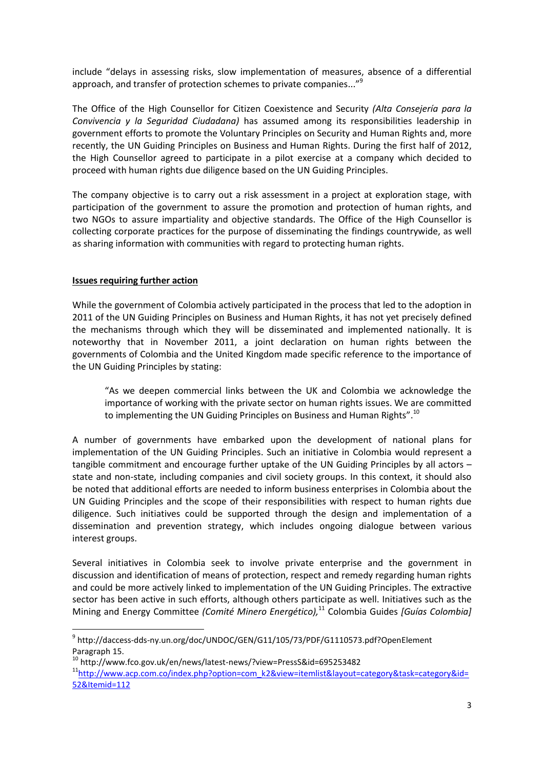include "delays in assessing risks, slow implementation of measures, absence of a differential approach, and transfer of protection schemes to private companies..."<sup>9</sup>

The Office of the High Counsellor for Citizen Coexistence and Security *(Alta Consejería para la Convivencia y la Seguridad Ciudadana)* has assumed among its responsibilities leadership in government efforts to promote the Voluntary Principles on Security and Human Rights and, more recently, the UN Guiding Principles on Business and Human Rights. During the first half of 2012, the High Counsellor agreed to participate in a pilot exercise at a company which decided to proceed with human rights due diligence based on the UN Guiding Principles.

The company objective is to carry out a risk assessment in a project at exploration stage, with participation of the government to assure the promotion and protection of human rights, and two NGOs to assure impartiality and objective standards. The Office of the High Counsellor is collecting corporate practices for the purpose of disseminating the findings countrywide, as well as sharing information with communities with regard to protecting human rights.

### **Issues requiring further action**

 $\overline{a}$ 

While the government of Colombia actively participated in the process that led to the adoption in 2011 of the UN Guiding Principles on Business and Human Rights, it has not yet precisely defined the mechanisms through which they will be disseminated and implemented nationally. It is noteworthy that in November 2011, a joint declaration on human rights between the governments of Colombia and the United Kingdom made specific reference to the importance of the UN Guiding Principles by stating:

"As we deepen commercial links between the UK and Colombia we acknowledge the importance of working with the private sector on human rights issues. We are committed to implementing the UN Guiding Principles on Business and Human Rights".<sup>10</sup>

A number of governments have embarked upon the development of national plans for implementation of the UN Guiding Principles. Such an initiative in Colombia would represent a tangible commitment and encourage further uptake of the UN Guiding Principles by all actors – state and non-state, including companies and civil society groups. In this context, it should also be noted that additional efforts are needed to inform business enterprises in Colombia about the UN Guiding Principles and the scope of their responsibilities with respect to human rights due diligence. Such initiatives could be supported through the design and implementation of a dissemination and prevention strategy, which includes ongoing dialogue between various interest groups.

Several initiatives in Colombia seek to involve private enterprise and the government in discussion and identification of means of protection, respect and remedy regarding human rights and could be more actively linked to implementation of the UN Guiding Principles. The extractive sector has been active in such efforts, although others participate as well. Initiatives such as the Mining and Energy Committee *(Comité Minero Energético),* <sup>11</sup> Colombia Guides *[Guías Colombia]*

<sup>9</sup> http://daccess-dds-ny.un.org/doc/UNDOC/GEN/G11/105/73/PDF/G1110573.pdf?OpenElement Paragraph 15.

<sup>10</sup> http://www.fco.gov.uk/en/news/latest-news/?view=PressS&id=695253482

<sup>&</sup>lt;sup>11</sup>[http://www.acp.com.co/index.php?option=com\\_k2&view=itemlist&layout=category&task=category&id=](http://www.acp.com.co/index.php?option=com_k2&view=itemlist&layout=category&task=category&id=52&Itemid=112) [52&Itemid=112](http://www.acp.com.co/index.php?option=com_k2&view=itemlist&layout=category&task=category&id=52&Itemid=112)